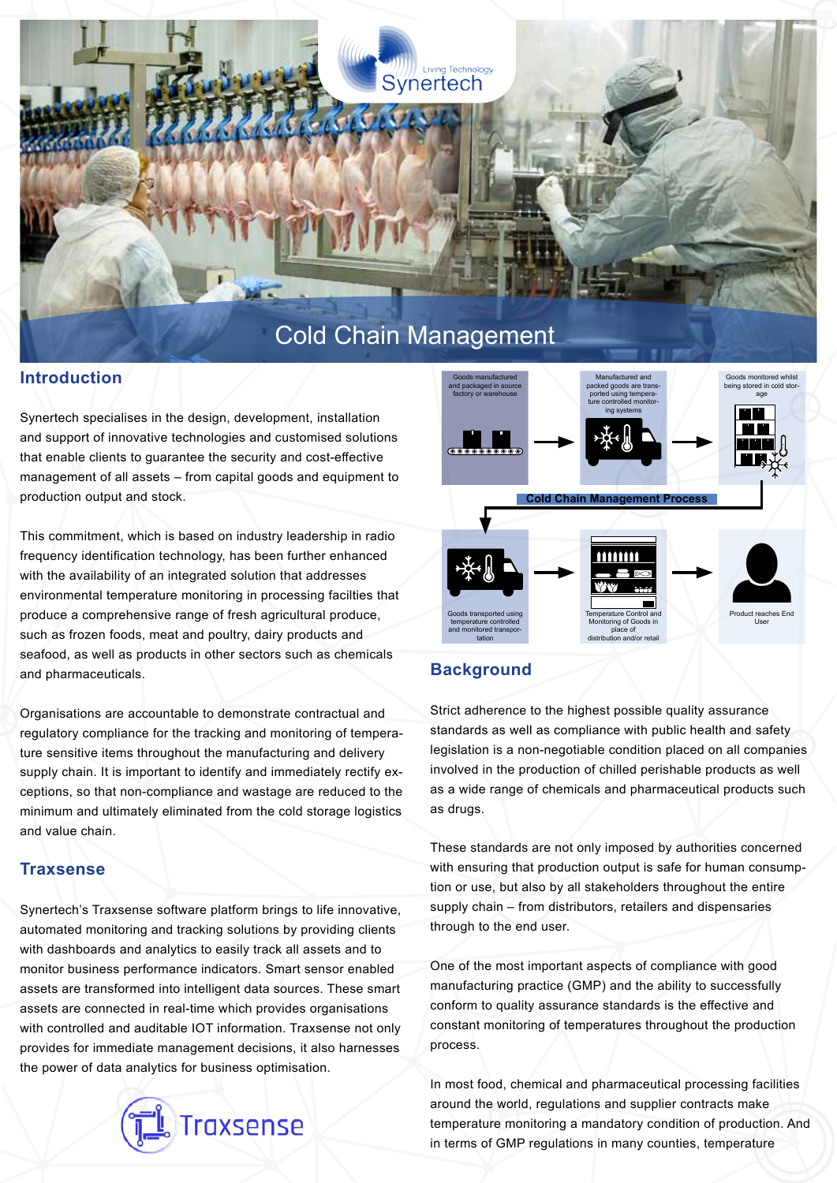

#### **Introduction**

Synertech specialises in the design, development, installation and support of innovative technologies and customised solutions that enable clients to quarantee the security and cost-effective management of all assets – from capital goods and equipment to production output and stock.

This commitment, which is based on industry leadership in radio frequency identification technology, has been further enhanced with the availability of an integrated solution that addresses environmental temperature monitoring in processing facilties that produce a comprehensive range of fresh agricultural produce, such as frozen foods, meat and poultry, dairy products and seafood, as well as products in other sectors such as chemicals and pharmaceuticals.

Organisations are accountable to demonstrate contractual and regulatory compliance for the tracking and monitoring of temperature sensitive items throughout the manufacturing and delivery supply chain. It is important to identify and immediately rectify exceptions, so that non-compliance and wastage are reduced to the minimum and ultimately eliminated from the cold storage logistics and value chain.

### **Traxsense**

Synertech's Traxsense software platform brings to life innovative, automated monitoring and tracking solutions by providing clients with dashboards and analytics to easily track all assets and to monitor business performance indicators. Smart sensor enabled assets are transformed into intelligent data sources. These smart assets are connected in real-time which provides organisations with controlled and auditable IOT information. Traxsense not only provides for immediate management decisions, it also harnesses the power of data analytics for business optimisation.





# **Background**

Strict adherence to the highest possible quality assurance standards as well as compliance with public health and safety legislation is a non-negotiable condition placed on all companies involved in the production of chilled perishable products as well as a wide range of chemicals and pharmaceutical products such as drugs.

These standards are not only imposed by authorities concerned with ensuring that production output is safe for human consumption or use, but also by all stakeholders throughout the entire supply chain – from distributors, retailers and dispensaries through to the end user.

One of the most important aspects of compliance with good manufacturing practice (GMP) and the ability to successfully conform to quality assurance standards is the effective and constant monitoring of temperatures throughout the production process.

In most food, chemical and pharmaceutical processing facilities around the world, regulations and supplier contracts make temperature monitoring a mandatory condition of production. And in terms of GMP regulations in many counties, temperature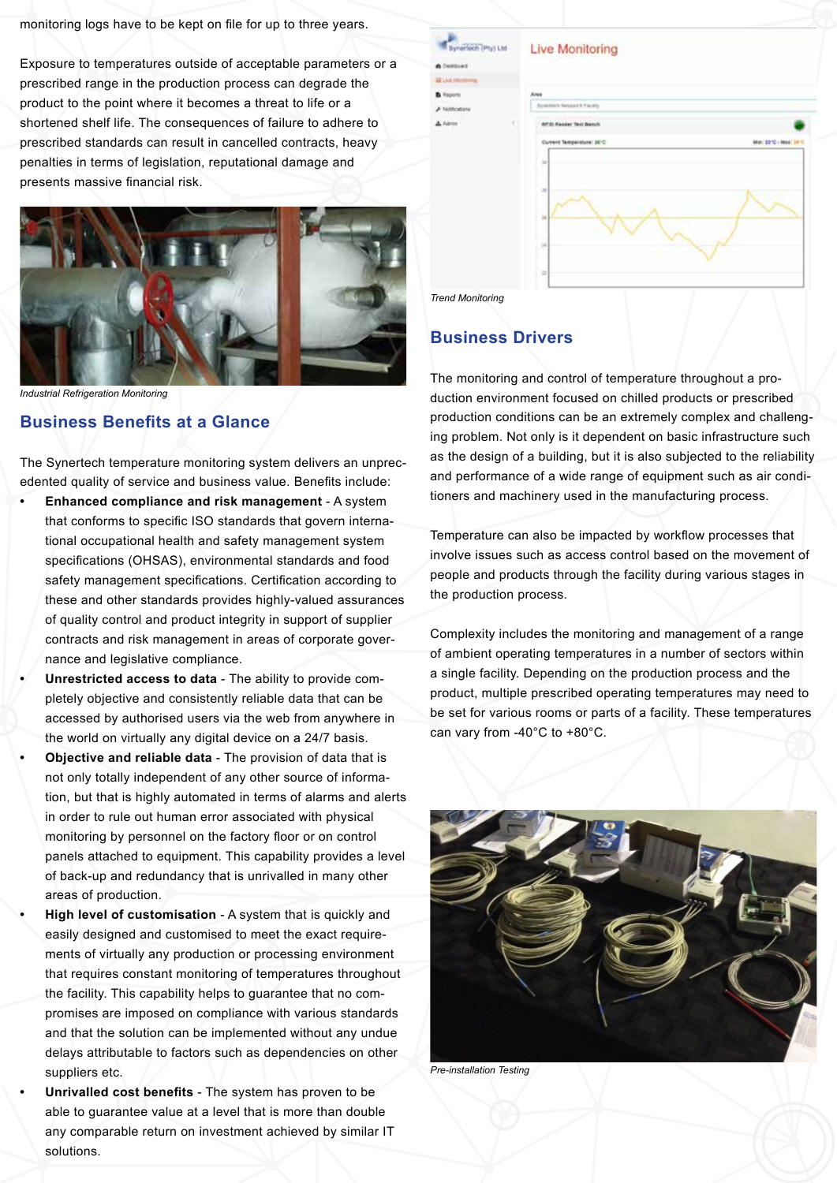monitoring logs have to be kept on file for up to three years.

Exposure to temperatures outside of acceptable parameters or a prescribed range in the production process can degrade the product to the point where it becomes a threat to life or a shortened shelf life. The consequences of failure to adhere to prescribed standards can result in cancelled contracts, heavy penalties in terms of legislation, reputational damage and presents massive financial risk.



*Industrial Refrigeration Monitoring*

# **Business Benefits at a Glance**

The Synertech temperature monitoring system delivers an unprecedented quality of service and business value. Benefits include:

- **• Enhanced compliance and risk management** A system that conforms to specific ISO standards that govern international occupational health and safety management system specifications (OHSAS), environmental standards and food safety management specifications. Certification according to these and other standards provides highly-valued assurances of quality control and product integrity in support of supplier contracts and risk management in areas of corporate governance and legislative compliance.
- **• Unrestricted access to data** The ability to provide completely objective and consistently reliable data that can be accessed by authorised users via the web from anywhere in the world on virtually any digital device on a 24/7 basis.
- **• Objective and reliable data** The provision of data that is not only totally independent of any other source of information, but that is highly automated in terms of alarms and alerts in order to rule out human error associated with physical monitoring by personnel on the factory floor or on control panels attached to equipment. This capability provides a level of back-up and redundancy that is unrivalled in many other areas of production.
- **• High level of customisation** A system that is quickly and easily designed and customised to meet the exact requirements of virtually any production or processing environment that requires constant monitoring of temperatures throughout the facility. This capability helps to guarantee that no compromises are imposed on compliance with various standards and that the solution can be implemented without any undue delays attributable to factors such as dependencies on other suppliers etc.
- **Unrivalled cost benefits The system has proven to be** able to guarantee value at a level that is more than double any comparable return on investment achieved by similar IT solutions.

| Lid <sup>2</sup> | <b>Live Monitoring</b> |  |
|------------------|------------------------|--|
|------------------|------------------------|--|

| Current Temperature: JA'C<br>Mar: 2210 - Mail<br>ü<br>28<br>$\bar{u}$<br>34<br>v | <b>BFID Reader Terr Bench</b> |  |
|----------------------------------------------------------------------------------|-------------------------------|--|
|                                                                                  |                               |  |
|                                                                                  |                               |  |
|                                                                                  |                               |  |
|                                                                                  |                               |  |
|                                                                                  |                               |  |
|                                                                                  |                               |  |
|                                                                                  |                               |  |



**Bunified Tetal** 

## **Business Drivers**

The monitoring and control of temperature throughout a production environment focused on chilled products or prescribed production conditions can be an extremely complex and challenging problem. Not only is it dependent on basic infrastructure such as the design of a building, but it is also subjected to the reliability and performance of a wide range of equipment such as air conditioners and machinery used in the manufacturing process.

Temperature can also be impacted by workflow processes that involve issues such as access control based on the movement of people and products through the facility during various stages in the production process.

Complexity includes the monitoring and management of a range of ambient operating temperatures in a number of sectors within a single facility. Depending on the production process and the product, multiple prescribed operating temperatures may need to be set for various rooms or parts of a facility. These temperatures can vary from -40°C to +80°C.



*Pre-installation Testing*